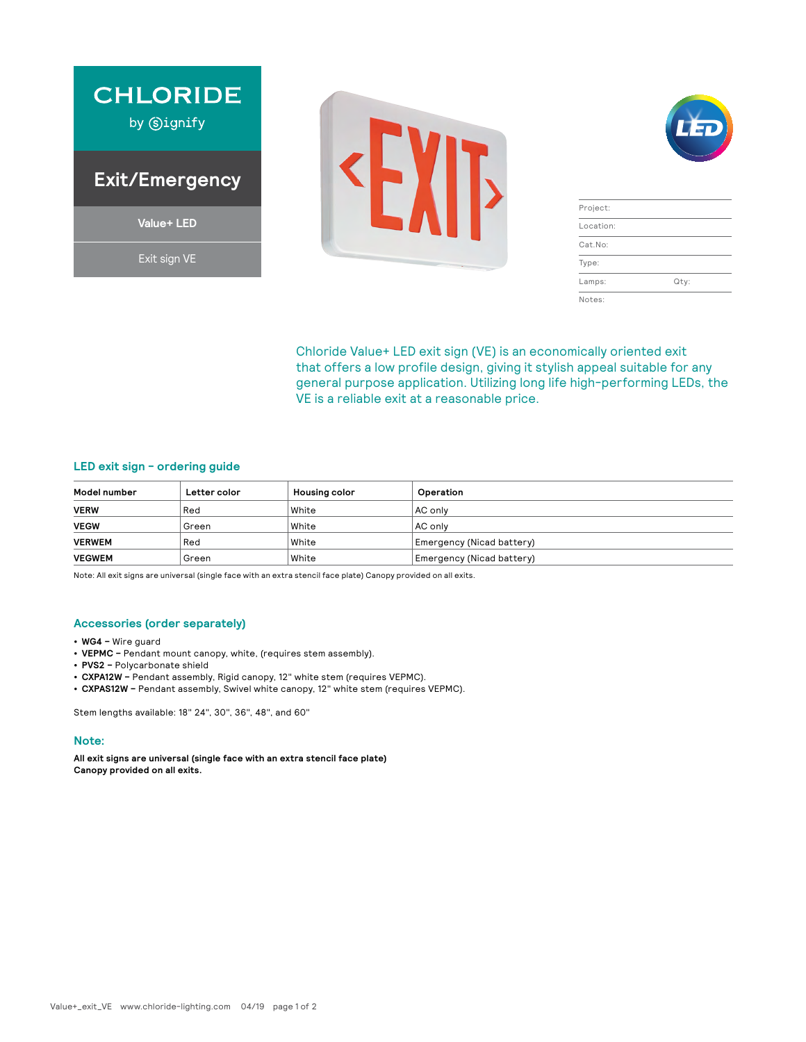





| Project:  |      |
|-----------|------|
| Location: |      |
| Cat.No:   |      |
| Type:     |      |
| Lamps:    | Qty: |
| Notes:    |      |

Chloride Value+ LED exit sign (VE) is an economically oriented exit that offers a low profile design, giving it stylish appeal suitable for any general purpose application. Utilizing long life high-performing LEDs, the VE is a reliable exit at a reasonable price.

# **LED exit sign - ordering guide**

| Model number  | Letter color | <b>Housing color</b> | Operation                 |
|---------------|--------------|----------------------|---------------------------|
| <b>VERW</b>   | Red          | White                | AC only                   |
| <b>VEGW</b>   | Green        | White                | AC only                   |
| <b>VERWEM</b> | Red          | White                | Emergency (Nicad battery) |
| <b>VEGWEM</b> | Green        | White                | Emergency (Nicad battery) |

Note: All exit signs are universal (single face with an extra stencil face plate) Canopy provided on all exits.

### **Accessories (order separately)**

- **• WG4 –** Wire guard
- **• VEPMC –** Pendant mount canopy, white, (requires stem assembly).
- **• PVS2 –** Polycarbonate shield
- **• CXPA12W –** Pendant assembly, Rigid canopy, 12" white stem (requires VEPMC).
- **• CXPAS12W –** Pendant assembly, Swivel white canopy, 12" white stem (requires VEPMC).

Stem lengths available: 18" 24", 30", 36", 48", and 60"

#### **Note:**

**All exit signs are universal (single face with an extra stencil face plate) Canopy provided on all exits.**